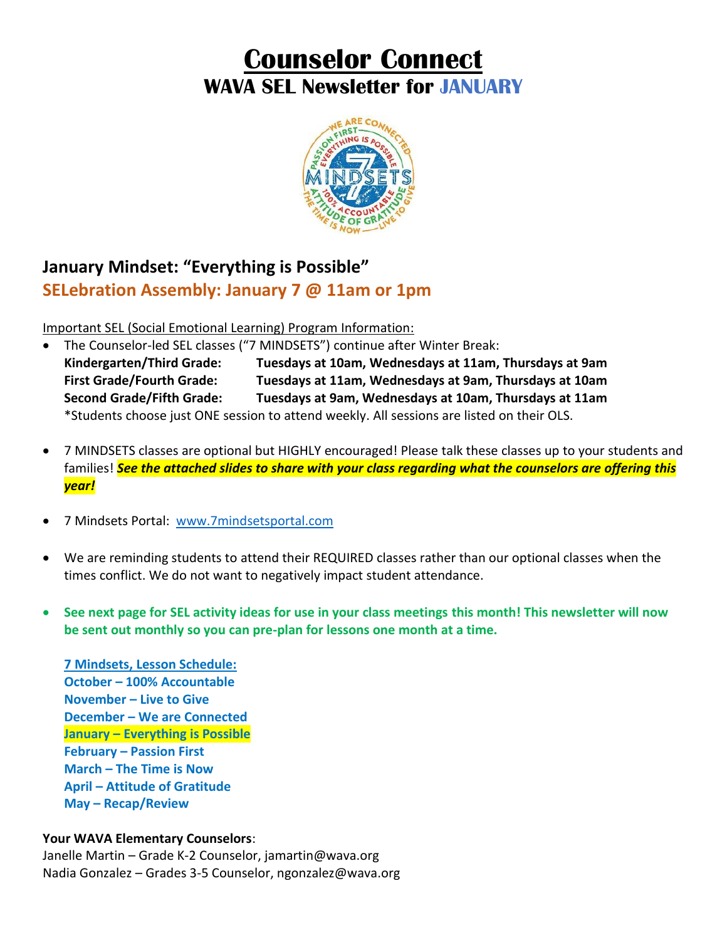# **Counselor Connect WAVA SEL Newsletter for JANUARY**



## **January Mindset: "Everything is Possible" SELebration Assembly: January 7 @ 11am or 1pm**

Important SEL (Social Emotional Learning) Program Information:

- The Counselor-led SEL classes ("7 MINDSETS") continue after Winter Break: **Kindergarten/Third Grade: Tuesdays at 10am, Wednesdays at 11am, Thursdays at 9am First Grade/Fourth Grade: Tuesdays at 11am, Wednesdays at 9am, Thursdays at 10am Second Grade/Fifth Grade: Tuesdays at 9am, Wednesdays at 10am, Thursdays at 11am** \*Students choose just ONE session to attend weekly. All sessions are listed on their OLS.
- 7 MINDSETS classes are optional but HIGHLY encouraged! Please talk these classes up to your students and families! *See the attached slides to share with your class regarding what the counselors are offering this year!*
- 7 Mindsets Portal: www.7mindsetsportal.com
- We are reminding students to attend their REQUIRED classes rather than our optional classes when the times conflict. We do not want to negatively impact student attendance.
- **See next page for SEL activity ideas for use in your class meetings this month! This newsletter will now be sent out monthly so you can pre-plan for lessons one month at a time.**

**7 Mindsets, Lesson Schedule: October – 100% Accountable November – Live to Give December – We are Connected January – Everything is Possible February – Passion First March – The Time is Now April – Attitude of Gratitude May – Recap/Review**

#### **Your WAVA Elementary Counselors**:

Janelle Martin – Grade K-2 Counselor, jamartin@wava.org Nadia Gonzalez – Grades 3-5 Counselor, ngonzalez@wava.org